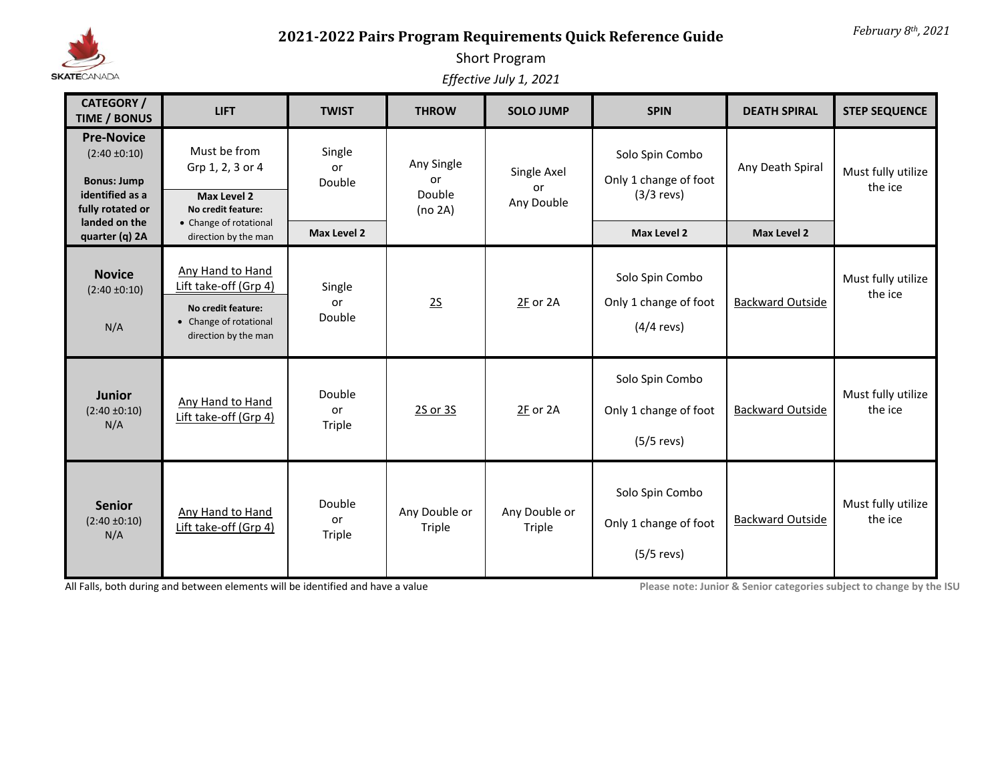

## *February 8th, 2021* **2021-2022 Pairs Program Requirements Quick Reference Guide**

## Short Program

*Effective July 1, 2021*

| <b>CATEGORY /</b><br><b>TIME / BONUS</b>                                                            | <b>LIFT</b>                                                                                                       | <b>TWIST</b>           | <b>THROW</b>                          | <b>SOLO JUMP</b>                | <b>SPIN</b>                                              | <b>DEATH SPIRAL</b>     | <b>STEP SEQUENCE</b>          |
|-----------------------------------------------------------------------------------------------------|-------------------------------------------------------------------------------------------------------------------|------------------------|---------------------------------------|---------------------------------|----------------------------------------------------------|-------------------------|-------------------------------|
| <b>Pre-Novice</b><br>$(2:40 \pm 0:10)$<br><b>Bonus: Jump</b><br>identified as a<br>fully rotated or | Must be from<br>Grp 1, 2, 3 or 4<br>Max Level 2<br>No credit feature:                                             | Single<br>or<br>Double | Any Single<br>or<br>Double<br>(no 2A) | Single Axel<br>or<br>Any Double | Solo Spin Combo<br>Only 1 change of foot<br>$(3/3$ revs) | Any Death Spiral        | Must fully utilize<br>the ice |
| landed on the<br>quarter (q) 2A                                                                     | • Change of rotational<br>direction by the man                                                                    | Max Level 2            |                                       |                                 | <b>Max Level 2</b>                                       | <b>Max Level 2</b>      |                               |
| <b>Novice</b><br>$(2:40 \pm 0:10)$<br>N/A                                                           | Any Hand to Hand<br>Lift take-off (Grp 4)<br>No credit feature:<br>• Change of rotational<br>direction by the man | Single<br>or<br>Double | 25                                    | 2F or 2A                        | Solo Spin Combo<br>Only 1 change of foot<br>$(4/4$ revs) | <b>Backward Outside</b> | Must fully utilize<br>the ice |
| <b>Junior</b><br>$(2:40 \pm 0:10)$<br>N/A                                                           | Any Hand to Hand<br>Lift take-off (Grp 4)                                                                         | Double<br>or<br>Triple | 2S or 3S                              | 2F or 2A                        | Solo Spin Combo<br>Only 1 change of foot<br>$(5/5$ revs) | <b>Backward Outside</b> | Must fully utilize<br>the ice |
| <b>Senior</b><br>$(2:40 \pm 0:10)$<br>N/A                                                           | <b>Any Hand to Hand</b><br>Lift take-off (Grp 4)                                                                  | Double<br>or<br>Triple | Any Double or<br>Triple               | Any Double or<br>Triple         | Solo Spin Combo<br>Only 1 change of foot<br>$(5/5$ revs) | <b>Backward Outside</b> |                               |

All Falls, both during and between elements will be identified and have a value **Please in the place note:** Junior & Senior categories subject to change by the ISU